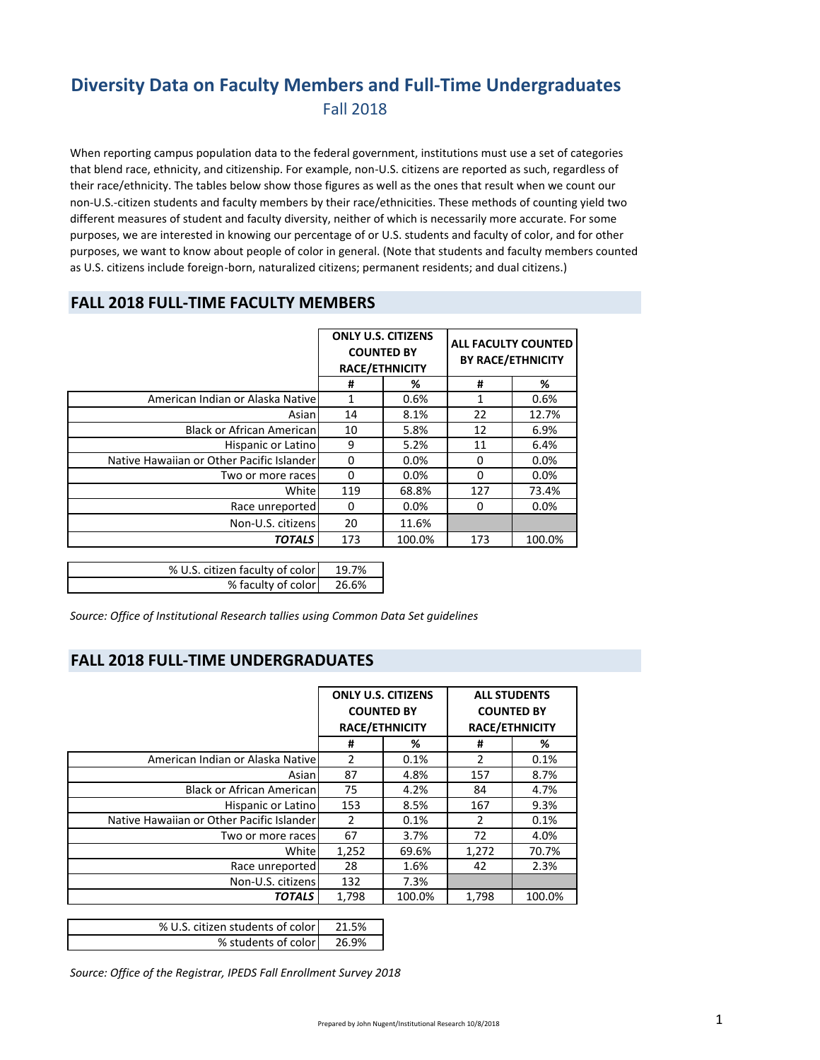## **Diversity Data on Faculty Members and Full‐Time Undergraduates** Fall 2018

When reporting campus population data to the federal government, institutions must use a set of categories that blend race, ethnicity, and citizenship. For example, non‐U.S. citizens are reported as such, regardless of their race/ethnicity. The tables below show those figures as well as the ones that result when we count our non‐U.S.‐citizen students and faculty members by their race/ethnicities. These methods of counting yield two different measures of student and faculty diversity, neither of which is necessarily more accurate. For some purposes, we are interested in knowing our percentage of or U.S. students and faculty of color, and for other purposes, we want to know about people of color in general. (Note that students and faculty members counted as U.S. citizens include foreign‐born, naturalized citizens; permanent residents; and dual citizens.)

### **FALL 2018 FULL‐TIME FACULTY MEMBERS**

|                                           | <b>ONLY U.S. CITIZENS</b><br><b>COUNTED BY</b><br><b>RACE/ETHNICITY</b> |         | ALL FACULTY COUNTED<br><b>BY RACE/ETHNICITY</b> |        |
|-------------------------------------------|-------------------------------------------------------------------------|---------|-------------------------------------------------|--------|
|                                           | #                                                                       | %       | #                                               | %      |
| American Indian or Alaska Nativel         | 1                                                                       | 0.6%    |                                                 | 0.6%   |
| Asian                                     | 14                                                                      | 8.1%    | 22                                              | 12.7%  |
| <b>Black or African American</b>          | 10                                                                      | 5.8%    | 12                                              | 6.9%   |
| Hispanic or Latino                        | 9                                                                       | 5.2%    | 11                                              | 6.4%   |
| Native Hawaiian or Other Pacific Islander | $\Omega$                                                                | 0.0%    | 0                                               | 0.0%   |
| Two or more races                         | $\Omega$                                                                | 0.0%    | $\Omega$                                        | 0.0%   |
| Whitel                                    | 119                                                                     | 68.8%   | 127                                             | 73.4%  |
| Race unreported                           | 0                                                                       | $0.0\%$ | 0                                               | 0.0%   |
| Non-U.S. citizens                         | 20                                                                      | 11.6%   |                                                 |        |
| <b>TOTALS</b>                             | 173                                                                     | 100.0%  | 173                                             | 100.0% |
|                                           |                                                                         |         |                                                 |        |

| % U.S. citizen faculty of color | 19.7% |
|---------------------------------|-------|
| % faculty of color              | 26.6% |

*Source: Office of Institutional Research tallies using Common Data Set guidelines*

#### **FALL 2018 FULL‐TIME UNDERGRADUATES**

|                                           | <b>ONLY U.S. CITIZENS</b><br><b>COUNTED BY</b><br><b>RACE/ETHNICITY</b> |        | <b>ALL STUDENTS</b><br><b>COUNTED BY</b><br><b>RACE/ETHNICITY</b> |        |
|-------------------------------------------|-------------------------------------------------------------------------|--------|-------------------------------------------------------------------|--------|
|                                           | #                                                                       | %      | #                                                                 | %      |
| American Indian or Alaska Native          | $\mathcal{P}$                                                           | 0.1%   | $\mathcal{P}$                                                     | 0.1%   |
| Asianl                                    | 87                                                                      | 4.8%   | 157                                                               | 8.7%   |
| <b>Black or African American</b>          | 75                                                                      | 4.2%   | 84                                                                | 4.7%   |
| Hispanic or Latino                        | 153                                                                     | 8.5%   | 167                                                               | 9.3%   |
| Native Hawaiian or Other Pacific Islander | 2                                                                       | 0.1%   | 2                                                                 | 0.1%   |
| Two or more races                         | 67                                                                      | 3.7%   | 72                                                                | 4.0%   |
| White                                     | 1,252                                                                   | 69.6%  | 1,272                                                             | 70.7%  |
| Race unreported                           | 28                                                                      | 1.6%   | 42                                                                | 2.3%   |
| Non-U.S. citizens                         | 132                                                                     | 7.3%   |                                                                   |        |
| <b>TOTALS</b>                             | 1,798                                                                   | 100.0% | 1,798                                                             | 100.0% |

| % U.S. citizen students of color | 21.5% |
|----------------------------------|-------|
| % students of color              | 26.9% |

*Source: Office of the Registrar, IPEDS Fall Enrollment Survey 2018*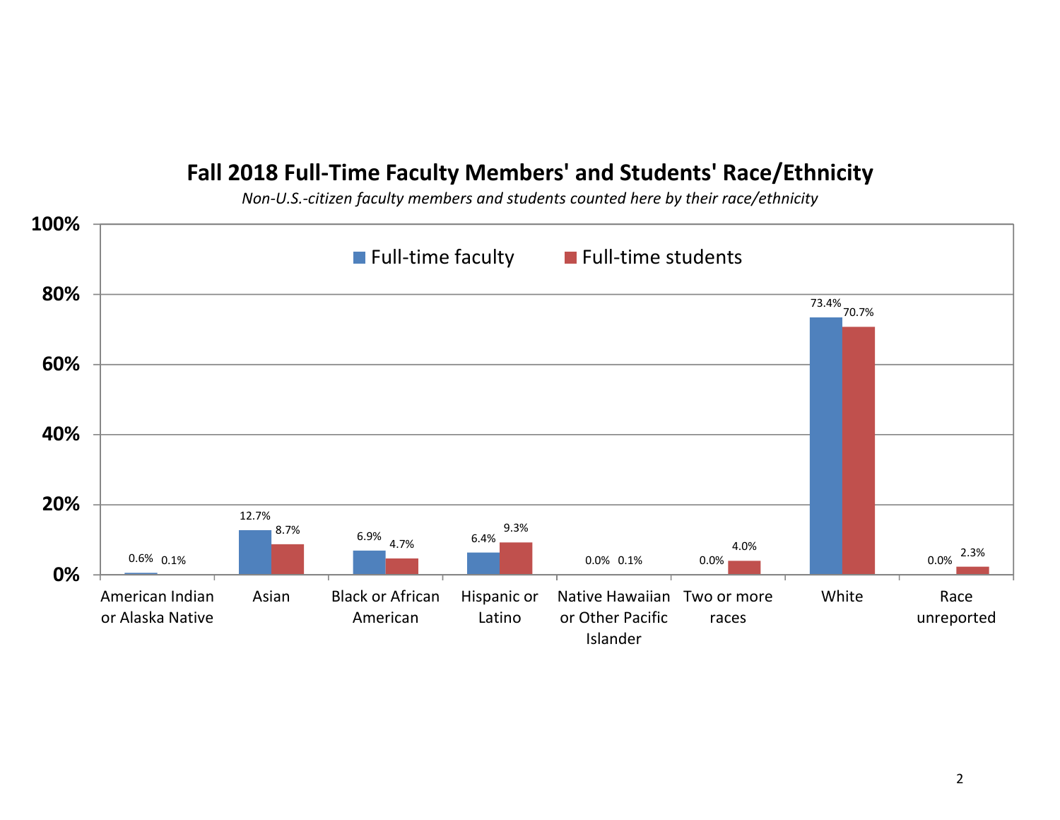# **Fall 2018 Full‐Time Faculty Members' and Students' Race/Ethnicity**

*Non‐U.S.‐citizen faculty members and students counted here by their race/ethnicity*

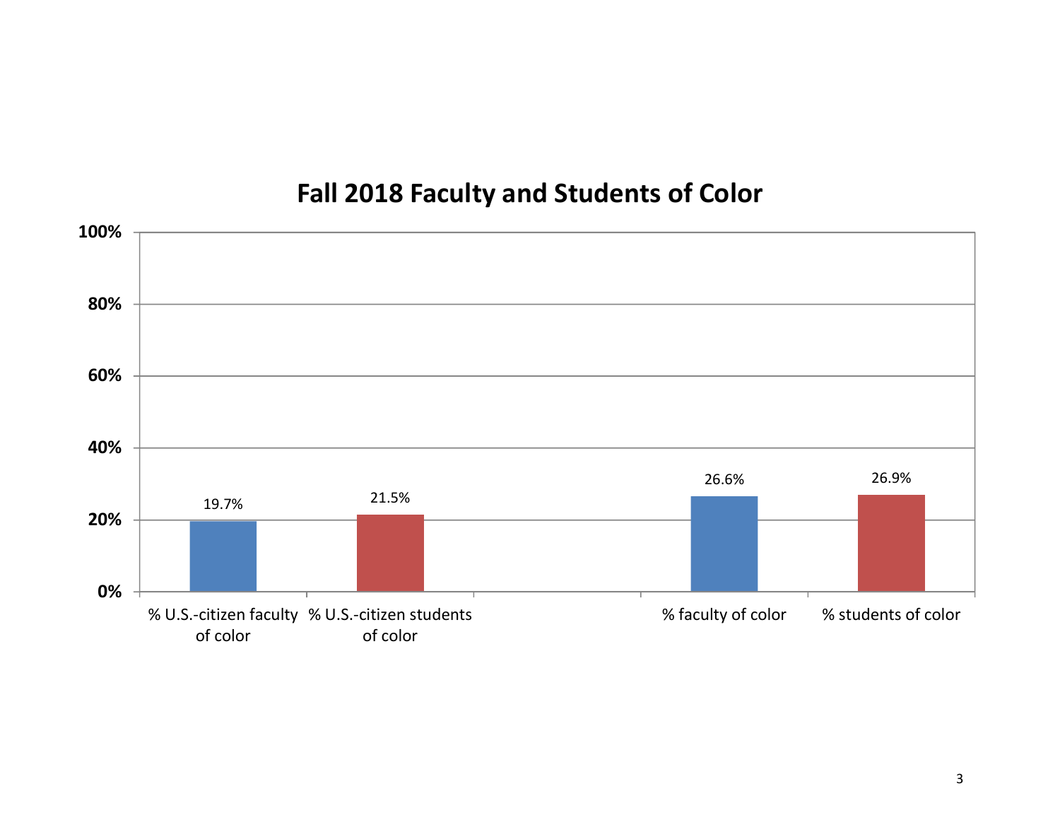# **Fall 2018 Faculty and Students of Color**

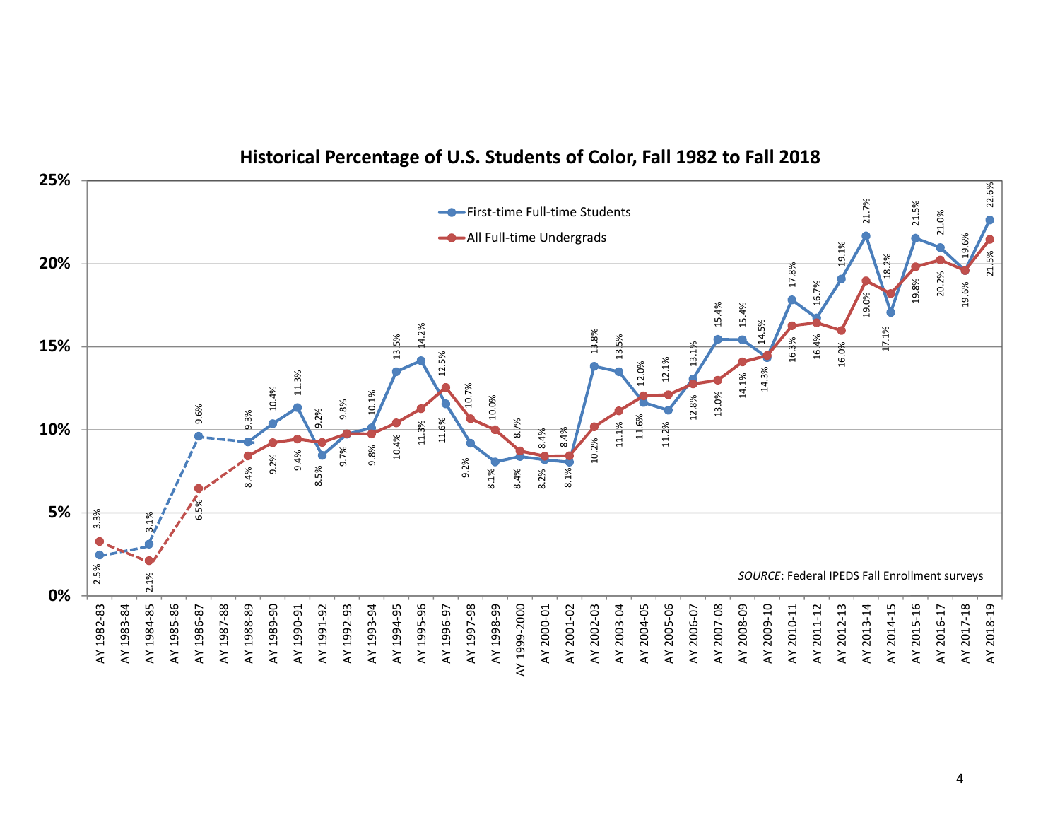

### **Historical Percentage of U.S. Students of Color, Fall 1982 to Fall 2018**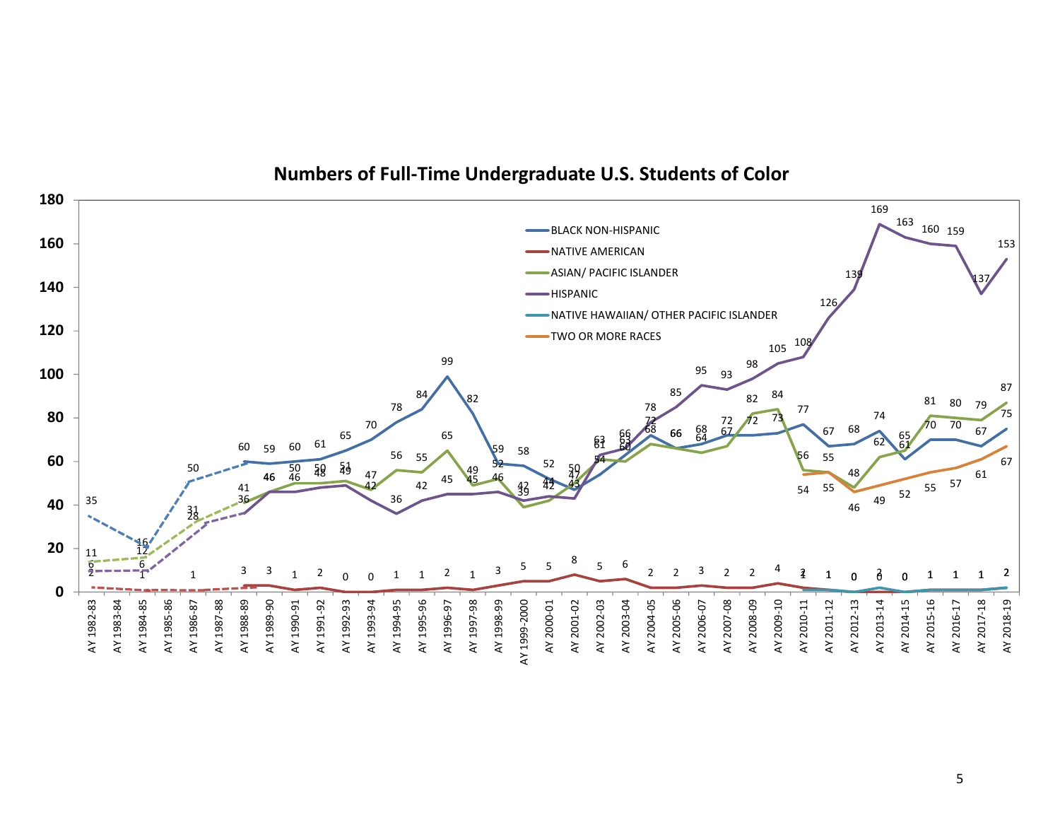

### **Numbers of Full‐Time Undergraduate U.S. Students of Color**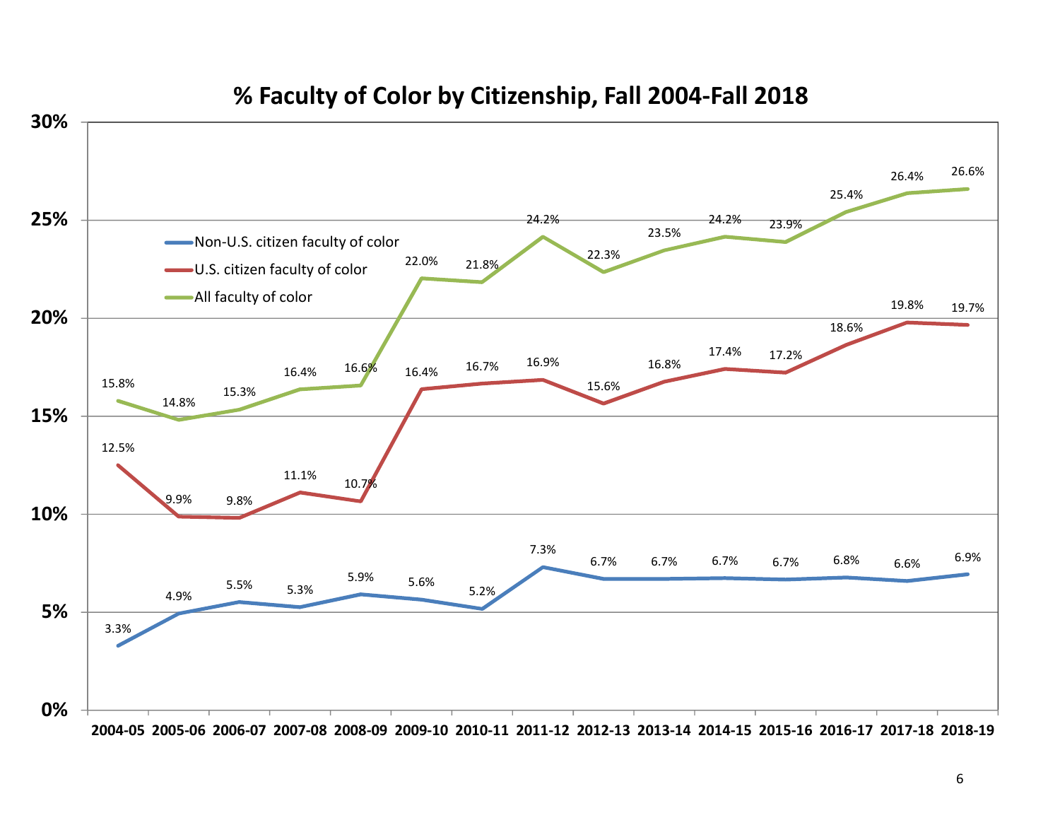

# **% Faculty of Color by Citizenship, Fall 2004‐Fall 2018**

2004-05 2005-06 2006-07 2007-08 2008-09 2009-10 2010-11 2011-12 2012-13 2013-14 2014-15 2015-16 2016-17 2017-18 2018-19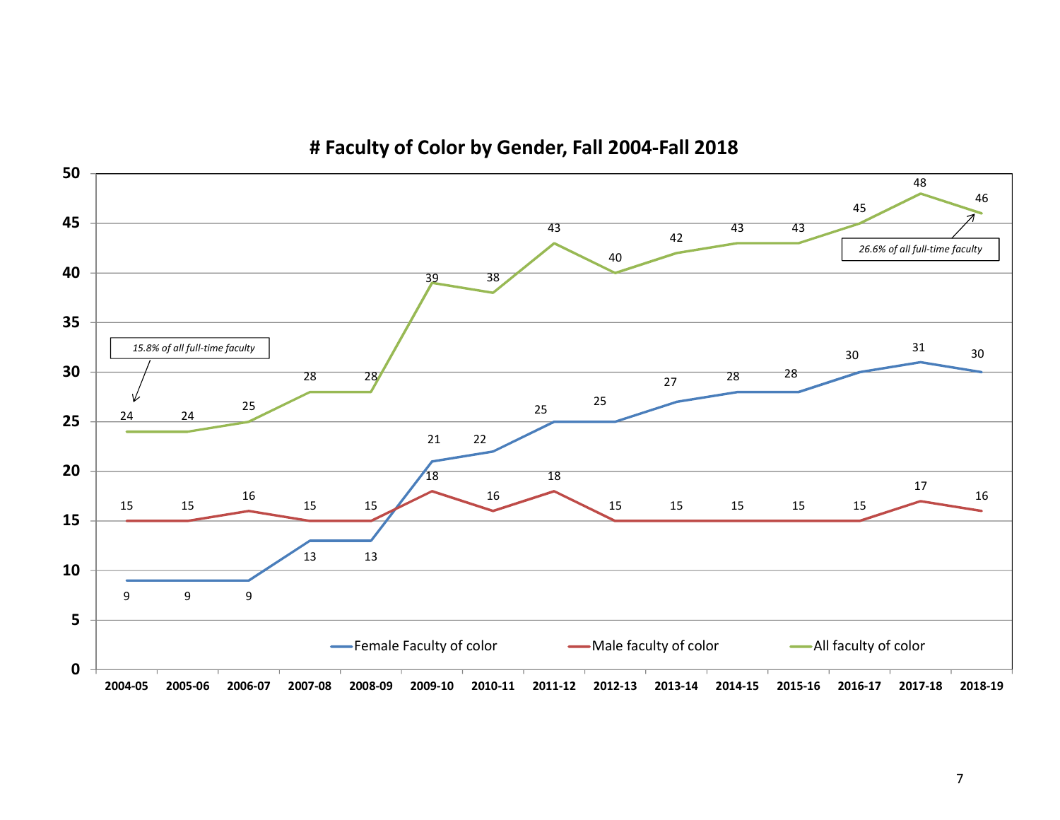

**# Faculty of Color by Gender, Fall 2004‐Fall 2018**